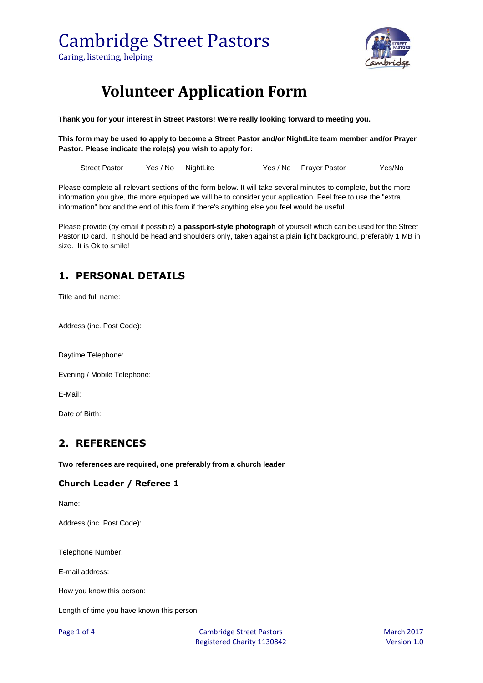

### **Volunteer Application Form**

**Thank you for your interest in Street Pastors! We're really looking forward to meeting you.**

**This form may be used to apply to become a Street Pastor and/or NightLite team member and/or Prayer Pastor. Please indicate the role(s) you wish to apply for:**

| Street Pastor | Yes / No NightLite |  | Yes / No Prayer Pastor | Yes/No |
|---------------|--------------------|--|------------------------|--------|
|               |                    |  |                        |        |

Please complete all relevant sections of the form below. It will take several minutes to complete, but the more information you give, the more equipped we will be to consider your application. Feel free to use the "extra information" box and the end of this form if there's anything else you feel would be useful.

Please provide (by email if possible) **a passport-style photograph** of yourself which can be used for the Street Pastor ID card. It should be head and shoulders only, taken against a plain light background, preferably 1 MB in size. It is Ok to smile!

#### **1. PERSONAL DETAILS**

Title and full name:

Address (inc. Post Code):

Daytime Telephone:

Evening / Mobile Telephone:

E-Mail:

Date of Birth:

#### **2. REFERENCES**

**Two references are required, one preferably from a church leader**

#### **Church Leader / Referee 1**

Name:

Address (inc. Post Code):

Telephone Number:

E-mail address:

How you know this person:

Length of time you have known this person: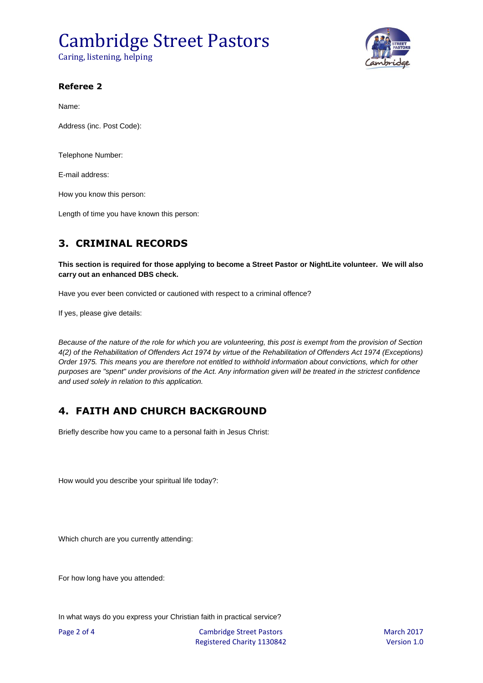## Cambridge Street Pastors

Caring, listening, helping



#### **Referee 2**

Name:

Address (inc. Post Code):

Telephone Number:

E-mail address:

How you know this person:

Length of time you have known this person:

### **3. CRIMINAL RECORDS**

**This section is required for those applying to become a Street Pastor or NightLite volunteer. We will also carry out an enhanced DBS check.** 

Have you ever been convicted or cautioned with respect to a criminal offence?

If yes, please give details:

*Because of the nature of the role for which you are volunteering, this post is exempt from the provision of Section 4(2) of the Rehabilitation of Offenders Act 1974 by virtue of the Rehabilitation of Offenders Act 1974 (Exceptions) Order 1975. This means you are therefore not entitled to withhold information about convictions, which for other purposes are "spent" under provisions of the Act. Any information given will be treated in the strictest confidence and used solely in relation to this application.*

### **4. FAITH AND CHURCH BACKGROUND**

Briefly describe how you came to a personal faith in Jesus Christ:

How would you describe your spiritual life today?:

Which church are you currently attending:

For how long have you attended:

In what ways do you express your Christian faith in practical service?

Page 2 of 4 Cambridge Street Pastors March 2017 Registered Charity 1130842 Version 1.0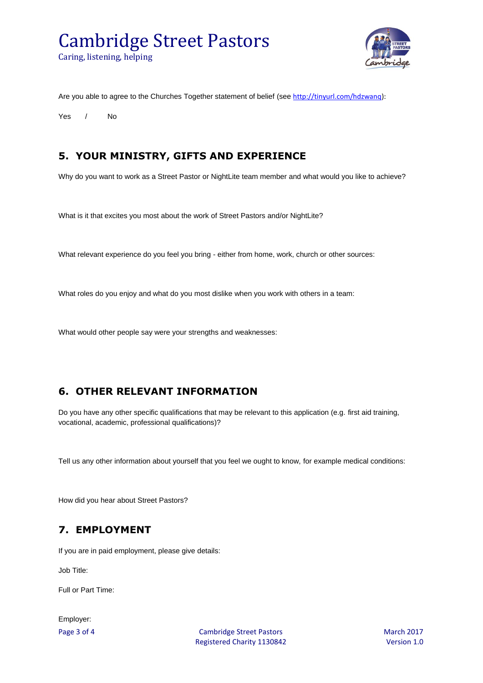# Cambridge Street Pastors

Caring, listening, helping



Are you able to agree to the Churches Together statement of belief (see [http://tinyurl.com/hdzwanq\)](http://tinyurl.com/hdzwanq):

Yes / No

#### **5. YOUR MINISTRY, GIFTS AND EXPERIENCE**

Why do you want to work as a Street Pastor or NightLite team member and what would you like to achieve?

What is it that excites you most about the work of Street Pastors and/or NightLite?

What relevant experience do you feel you bring - either from home, work, church or other sources:

What roles do you enjoy and what do you most dislike when you work with others in a team:

What would other people say were your strengths and weaknesses:

#### **6. OTHER RELEVANT INFORMATION**

Do you have any other specific qualifications that may be relevant to this application (e.g. first aid training, vocational, academic, professional qualifications)?

Tell us any other information about yourself that you feel we ought to know, for example medical conditions:

How did you hear about Street Pastors?

#### **7. EMPLOYMENT**

If you are in paid employment, please give details:

Job Title:

Full or Part Time:

Employer:

Page 3 of 4 Cambridge Street Pastors March 2017 Registered Charity 1130842 Version 1.0